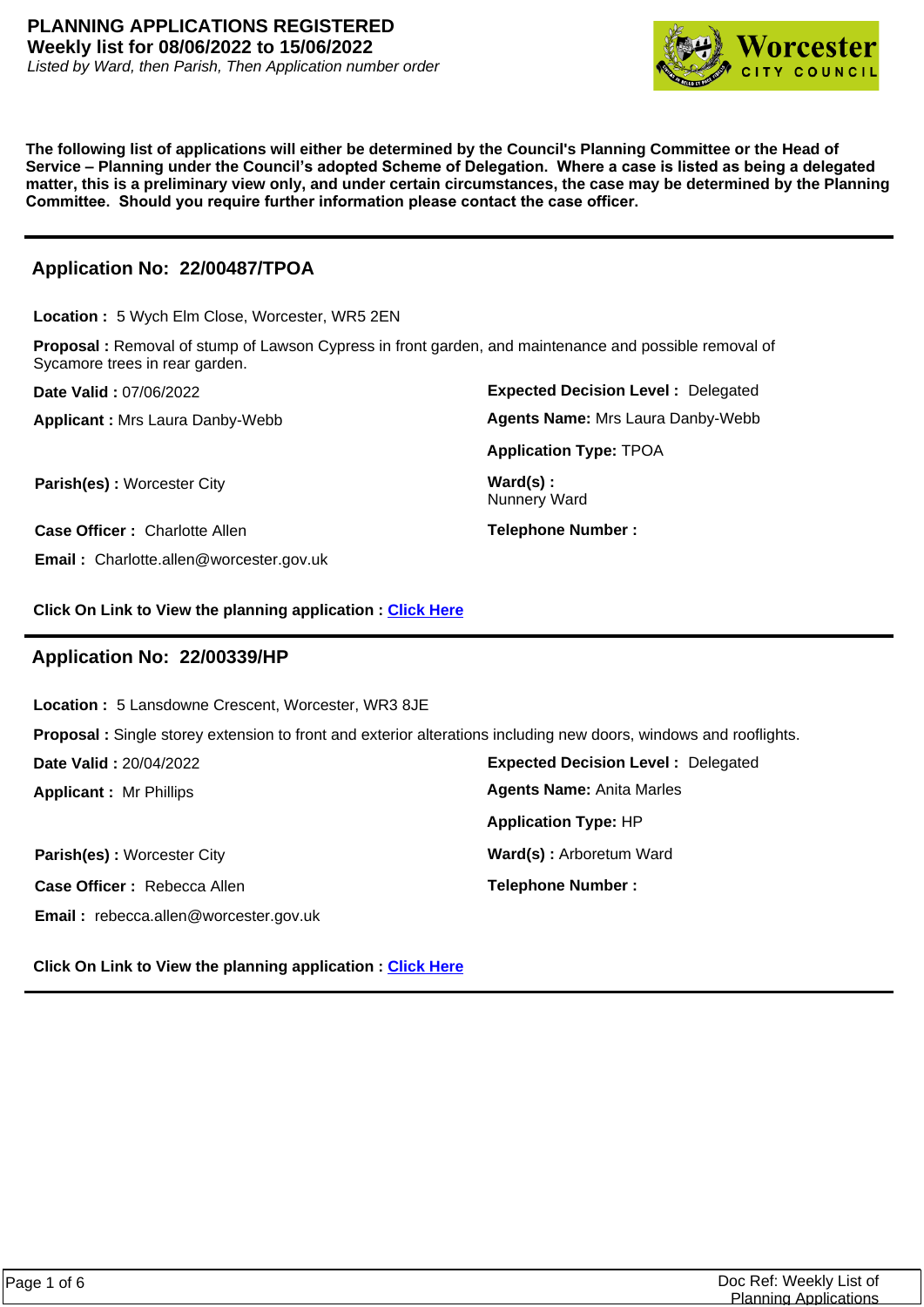

**The following list of applications will either be determined by the Council's Planning Committee or the Head of Service – Planning under the Council's adopted Scheme of Delegation. Where a case is listed as being a delegated matter, this is a preliminary view only, and under certain circumstances, the case may be determined by the Planning Committee. Should you require further information please contact the case officer.**

# **Application No: 22/00487/TPOA**

**Location :** 5 Wych Elm Close, Worcester, WR5 2EN

**Proposal :** Removal of stump of Lawson Cypress in front garden, and maintenance and possible removal of Sycamore trees in rear garden.

**Date Valid :** 07/06/2022

**Applicant :** Mrs Laura Danby-Webb

**Parish(es) :** Worcester City **Ward(s) : Ward(s) :** 

**Case Officer :** Charlotte Allen

**Email :** Charlotte.allen@worcester.gov.uk

**Expected Decision Level :** Delegated **Application Type:** TPOA **Agents Name:** Mrs Laura Danby-Webb

Nunnery Ward

**Telephone Number :**

**Click On Link to View the planning application : [Click Here](https://plan.worcester.gov.uk/Planning/Display/22/00487/TPOA)**

## **Application No: 22/00339/HP**

**Location :** 5 Lansdowne Crescent, Worcester, WR3 8JE

**Proposal :** Single storey extension to front and exterior alterations including new doors, windows and rooflights.

**Date Valid :** 20/04/2022

**Applicant :** Mr Phillips

**Parish(es):** Worcester City **Ward(s):** Arboretum Ward **Case Officer :** Rebecca Allen **Email :** rebecca.allen@worcester.gov.uk

**Expected Decision Level :** Delegated **Telephone Number : Application Type:** HP **Agents Name:** Anita Marles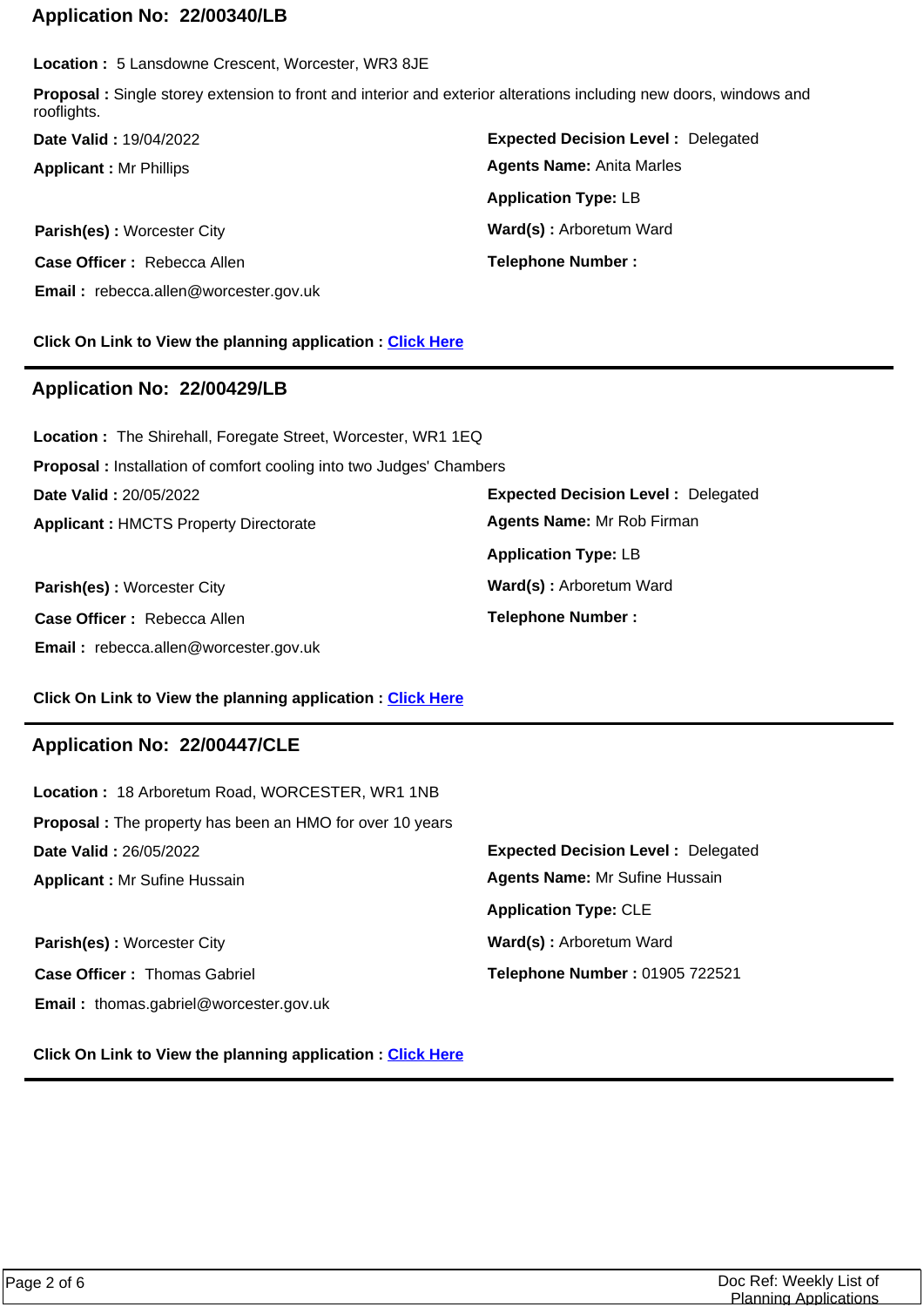### **Application No: 22/00340/LB**

**Location :** 5 Lansdowne Crescent, Worcester, WR3 8JE

**Proposal :** Single storey extension to front and interior and exterior alterations including new doors, windows and rooflights.

**Applicant :** Mr Phillips **Date Valid :** 19/04/2022

**Parish(es)** : Worcester City **Ward(s)** : Arboretum Ward **Case Officer :** Rebecca Allen **Email :** rebecca.allen@worcester.gov.uk

**Expected Decision Level :** Delegated **Telephone Number : Application Type:** LB **Agents Name:** Anita Marles

#### **Click On Link to View the planning application : [Click Here](https://plan.worcester.gov.uk/Planning/Display/22/00340/LB)**

### **Application No: 22/00429/LB**

**Applicant :** HMCTS Property Directorate **Date Valid :** 20/05/2022 **Location :** The Shirehall, Foregate Street, Worcester, WR1 1EQ **Proposal :** Installation of comfort cooling into two Judges' Chambers

**Case Officer :** Rebecca Allen **Email :** rebecca.allen@worcester.gov.uk

**Expected Decision Level :** Delegated **Parish(es)** : Worcester City **Ward(s)** : Arboretum Ward **Telephone Number : Application Type:** LB **Agents Name:** Mr Rob Firman

#### **Click On Link to View the planning application : [Click Here](https://plan.worcester.gov.uk/Planning/Display/22/00429/LB)**

#### **Application No: 22/00447/CLE**

| Location: 18 Arboretum Road, WORCESTER, WR1 1NB                 |                                           |
|-----------------------------------------------------------------|-------------------------------------------|
| <b>Proposal:</b> The property has been an HMO for over 10 years |                                           |
| Date Valid: 26/05/2022                                          | <b>Expected Decision Level: Delegated</b> |
| <b>Applicant: Mr Sufine Hussain</b>                             | <b>Agents Name: Mr Sufine Hussain</b>     |
|                                                                 | <b>Application Type: CLE</b>              |
| Parish(es): Worcester City                                      | Ward(s): Arboretum Ward                   |
| <b>Case Officer: Thomas Gabriel</b>                             | Telephone Number: 01905 722521            |
| <b>Email:</b> thomas.gabriel@worcester.gov.uk                   |                                           |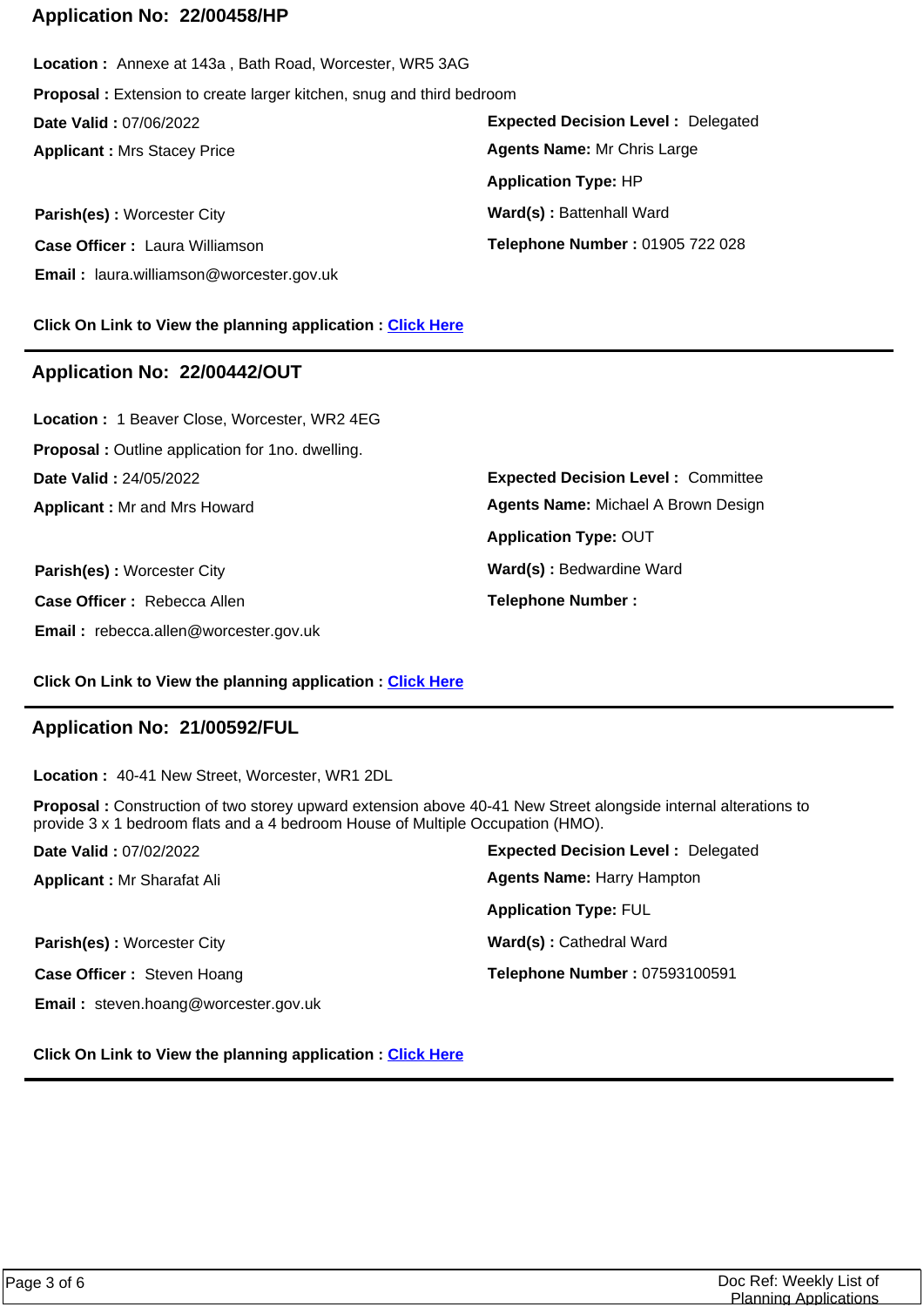### **Application No: 22/00458/HP**

**Expected Decision Level :** Delegated **Parish(es)** : Worcester City **Ward(s)** : Battenhall Ward **Applicant :** Mrs Stacey Price **Date Valid :** 07/06/2022 **Location :** Annexe at 143a , Bath Road, Worcester, WR5 3AG **Proposal :** Extension to create larger kitchen, snug and third bedroom **Application Type:** HP **Agents Name:** Mr Chris Large

**Case Officer :** Laura Williamson **Email :** laura.williamson@worcester.gov.uk **Telephone Number :** 01905 722 028

**Click On Link to View the planning application : [Click Here](https://plan.worcester.gov.uk/Planning/Display/22/00458/HP)**

### **Application No: 22/00442/OUT**

**Applicant :** Mr and Mrs Howard **Date Valid :** 24/05/2022 **Location :** 1 Beaver Close, Worcester, WR2 4EG **Proposal :** Outline application for 1no. dwelling.

**Parish(es) :** Worcester City **Ward(s)** : Bedwardine Ward **Case Officer :** Rebecca Allen **Email :** rebecca.allen@worcester.gov.uk

**Expected Decision Level :** Committee **Telephone Number : Application Type:** OUT **Agents Name:** Michael A Brown Design

#### **Click On Link to View the planning application : [Click Here](https://plan.worcester.gov.uk/Planning/Display/22/00442/OUT)**

### **Application No: 21/00592/FUL**

**Location :** 40-41 New Street, Worcester, WR1 2DL

**Proposal :** Construction of two storey upward extension above 40-41 New Street alongside internal alterations to provide 3 x 1 bedroom flats and a 4 bedroom House of Multiple Occupation (HMO).

| Date Valid: 07/02/2022                      | <b>Expected Decision Level: Delegated</b> |
|---------------------------------------------|-------------------------------------------|
| <b>Applicant: Mr Sharafat Ali</b>           | <b>Agents Name: Harry Hampton</b>         |
|                                             | <b>Application Type: FUL</b>              |
| Parish(es): Worcester City                  | Ward(s): Cathedral Ward                   |
| Case Officer: Steven Hoang                  | Telephone Number: 07593100591             |
| <b>Email:</b> steven.hoang@worcester.gov.uk |                                           |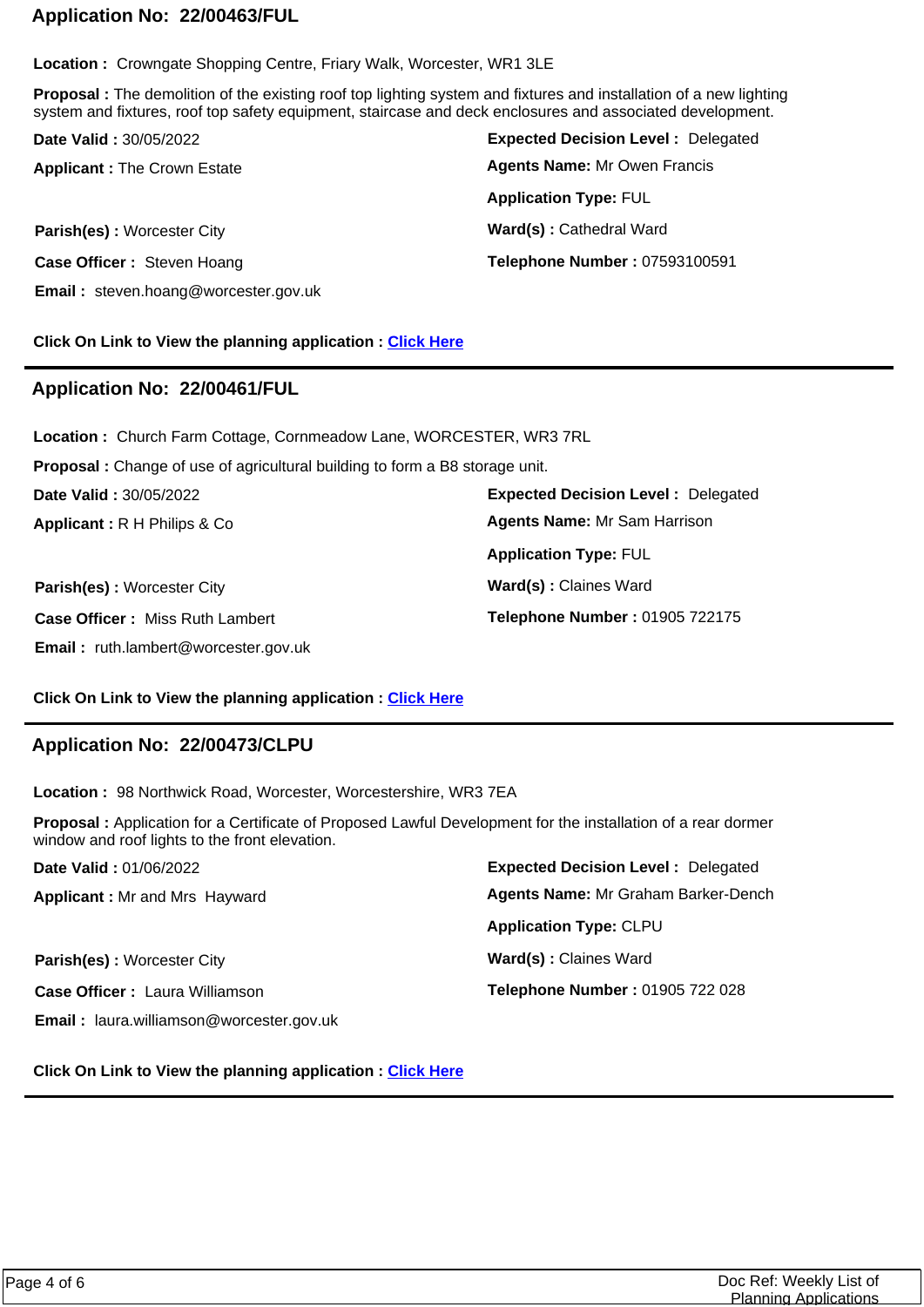## **Application No: 22/00463/FUL**

**Location :** Crowngate Shopping Centre, Friary Walk, Worcester, WR1 3LE

**Proposal :** The demolition of the existing roof top lighting system and fixtures and installation of a new lighting system and fixtures, roof top safety equipment, staircase and deck enclosures and associated development.

| <b>Date Valid: 30/05/2022</b>               | <b>Expected Decision Level: Delegated</b> |
|---------------------------------------------|-------------------------------------------|
| <b>Applicant: The Crown Estate</b>          | <b>Agents Name: Mr Owen Francis</b>       |
|                                             | <b>Application Type: FUL</b>              |
| Parish(es): Worcester City                  | Ward(s): Cathedral Ward                   |
| Case Officer: Steven Hoang                  | Telephone Number: 07593100591             |
| <b>Email:</b> steven.hoang@worcester.gov.uk |                                           |

#### **Click On Link to View the planning application : [Click Here](https://plan.worcester.gov.uk/Planning/Display/22/00463/FUL)**

## **Application No: 22/00461/FUL**

**Location :** Church Farm Cottage, Cornmeadow Lane, WORCESTER, WR3 7RL

**Proposal :** Change of use of agricultural building to form a B8 storage unit.

**Date Valid :** 30/05/2022

**Applicant :** R H Philips & Co

**Parish(es) :** Worcester City **Ward(s) : Claines Ward Case Officer :** Miss Ruth Lambert **Email :** ruth.lambert@worcester.gov.uk

**Expected Decision Level :** Delegated **Application Type:** FUL **Agents Name:** Mr Sam Harrison

**Telephone Number :** 01905 722175

#### **Click On Link to View the planning application : [Click Here](https://plan.worcester.gov.uk/Planning/Display/22/00461/FUL)**

### **Application No: 22/00473/CLPU**

**Location :** 98 Northwick Road, Worcester, Worcestershire, WR3 7EA

**Proposal :** Application for a Certificate of Proposed Lawful Development for the installation of a rear dormer window and roof lights to the front elevation.

| Date Valid: 01/06/2022                          | <b>Expected Decision Level: Delegated</b>  |
|-------------------------------------------------|--------------------------------------------|
| <b>Applicant: Mr and Mrs Hayward</b>            | <b>Agents Name: Mr Graham Barker-Dench</b> |
|                                                 | <b>Application Type: CLPU</b>              |
| Parish(es): Worcester City                      | Ward(s): Claines Ward                      |
| <b>Case Officer: Laura Williamson</b>           | Telephone Number: 01905 722 028            |
| <b>Email:</b> laura.williamson@worcester.gov.uk |                                            |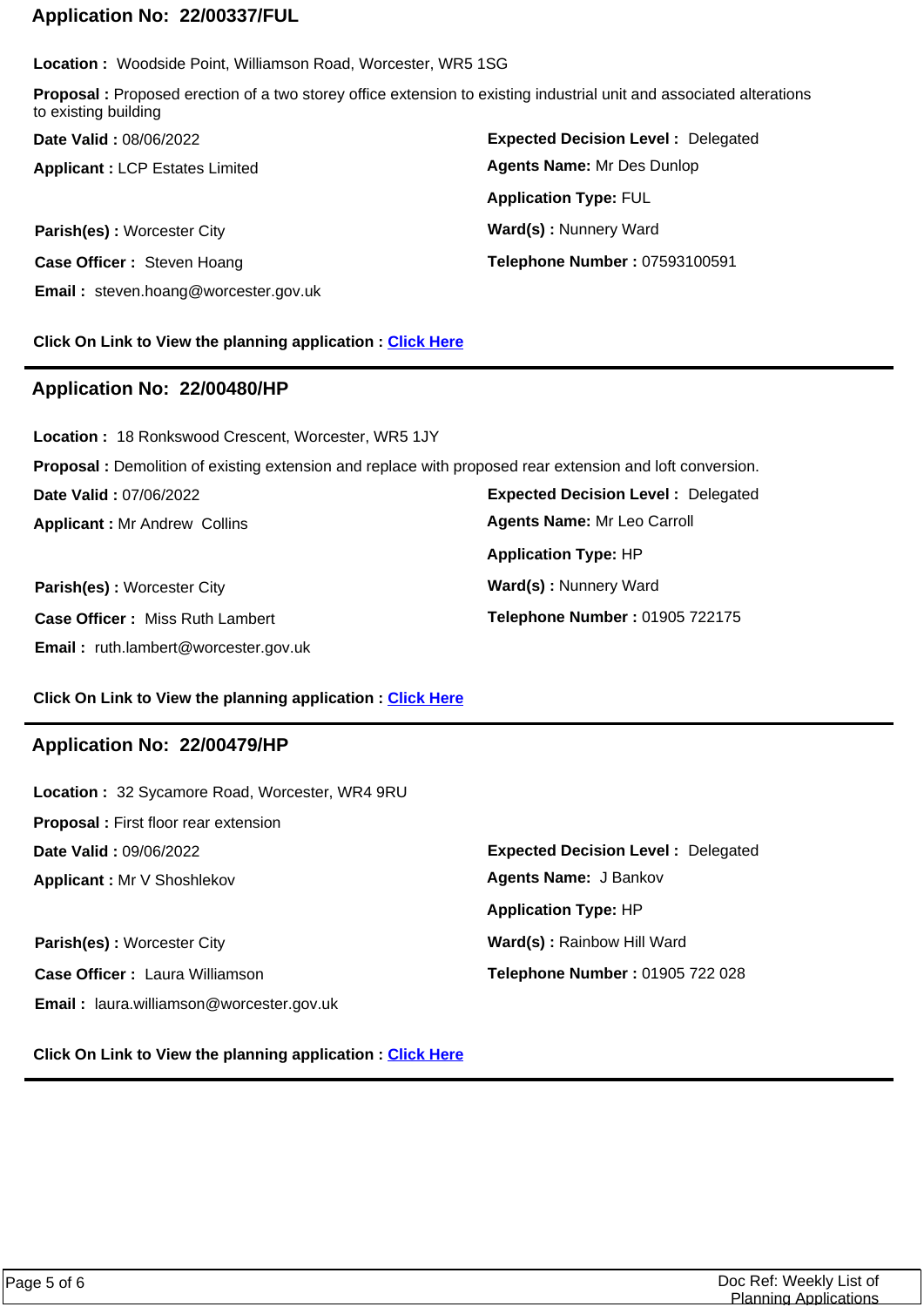### **Application No: 22/00337/FUL**

**Location :** Woodside Point, Williamson Road, Worcester, WR5 1SG

**Proposal :** Proposed erection of a two storey office extension to existing industrial unit and associated alterations to existing building

**Applicant :** LCP Estates Limited **Date Valid :** 08/06/2022

**Parish(es):** Worcester City **Ward(s):** Nunnery Ward **Case Officer :** Steven Hoang **Email :** steven.hoang@worcester.gov.uk

**Expected Decision Level :** Delegated **Telephone Number :** 07593100591 **Application Type:** FUL **Agents Name:** Mr Des Dunlop

### **Click On Link to View the planning application : [Click Here](https://plan.worcester.gov.uk/Planning/Display/22/00337/FUL)**

### **Application No: 22/00480/HP**

**Applicant :** Mr Andrew Collins **Date Valid :** 07/06/2022 **Location :** 18 Ronkswood Crescent, Worcester, WR5 1JY **Proposal :** Demolition of existing extension and replace with proposed rear extension and loft conversion. **Application Type:** HP **Agents Name:** Mr Leo Carroll

**Case Officer :** Miss Ruth Lambert **Email :** ruth.lambert@worcester.gov.uk

**Expected Decision Level :** Delegated **Parish(es):** Worcester City **Ward(s):** Nunnery Ward **Telephone Number :** 01905 722175

#### **Click On Link to View the planning application : [Click Here](https://plan.worcester.gov.uk/Planning/Display/22/00480/HP)**

#### **Application No: 22/00479/HP**

| Location: 32 Sycamore Road, Worcester, WR4 9RU  |                                           |
|-------------------------------------------------|-------------------------------------------|
| <b>Proposal:</b> First floor rear extension     |                                           |
| Date Valid: 09/06/2022                          | <b>Expected Decision Level: Delegated</b> |
| Applicant: Mr V Shoshlekov                      | <b>Agents Name: J Bankov</b>              |
|                                                 | <b>Application Type: HP</b>               |
| Parish(es): Worcester City                      | Ward(s): Rainbow Hill Ward                |
| <b>Case Officer: Laura Williamson</b>           | Telephone Number: 01905 722 028           |
| <b>Email:</b> laura.williamson@worcester.gov.uk |                                           |